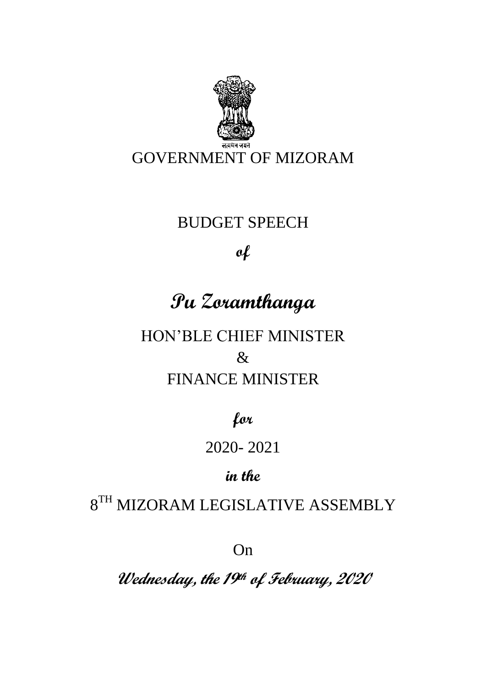

## BUDGET SPEECH

## **of**

# **Pu Zoramthanga**

HON'BLE CHIEF MINISTER & FINANCE MINISTER

**for**

## 2020- 2021

## **in the**

## $8^{TH}$  MIZORAM LEGISLATIVE ASSEMBLY

On

**Wednesday, the 19th of February, 2020**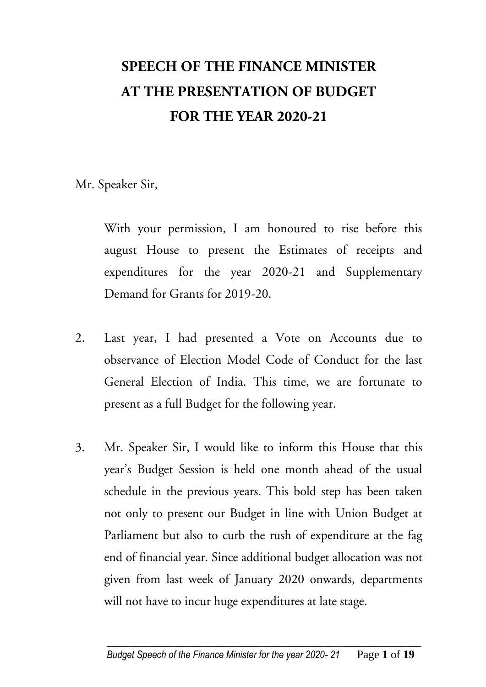# **SPEECH OF THE FINANCE MINISTER AT THE PRESENTATION OF BUDGET FOR THE YEAR 2020-21**

Mr. Speaker Sir,

With your permission, I am honoured to rise before this august House to present the Estimates of receipts and expenditures for the year 2020-21 and Supplementary Demand for Grants for 2019-20.

- 2. Last year, I had presented a Vote on Accounts due to observance of Election Model Code of Conduct for the last General Election of India. This time, we are fortunate to present as a full Budget for the following year.
- 3. Mr. Speaker Sir, I would like to inform this House that this year's Budget Session is held one month ahead of the usual schedule in the previous years. This bold step has been taken not only to present our Budget in line with Union Budget at Parliament but also to curb the rush of expenditure at the fag end of financial year. Since additional budget allocation was not given from last week of January 2020 onwards, departments will not have to incur huge expenditures at late stage.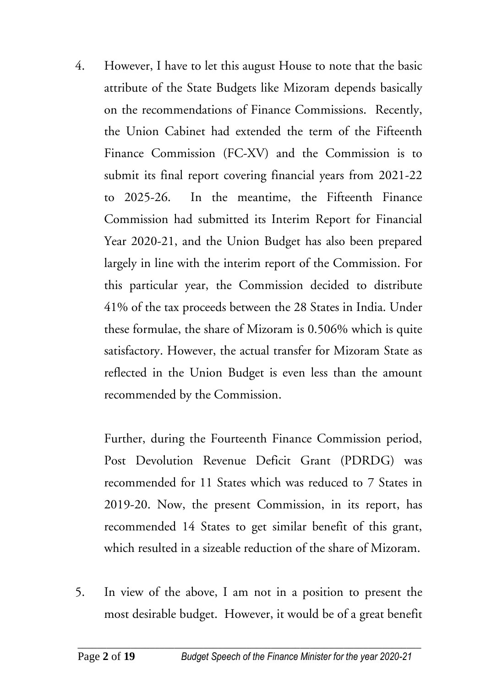4. However, I have to let this august House to note that the basic attribute of the State Budgets like Mizoram depends basically on the recommendations of Finance Commissions. Recently, the Union Cabinet had extended the term of the Fifteenth Finance Commission (FC-XV) and the Commission is to submit its final report covering financial years from 2021-22 to 2025-26. In the meantime, the Fifteenth Finance Commission had submitted its Interim Report for Financial Year 2020-21, and the Union Budget has also been prepared largely in line with the interim report of the Commission. For this particular year, the Commission decided to distribute 41% of the tax proceeds between the 28 States in India. Under these formulae, the share of Mizoram is 0.506% which is quite satisfactory. However, the actual transfer for Mizoram State as reflected in the Union Budget is even less than the amount recommended by the Commission.

Further, during the Fourteenth Finance Commission period, Post Devolution Revenue Deficit Grant (PDRDG) was recommended for 11 States which was reduced to 7 States in 2019-20. Now, the present Commission, in its report, has recommended 14 States to get similar benefit of this grant, which resulted in a sizeable reduction of the share of Mizoram.

5. In view of the above, I am not in a position to present the most desirable budget. However, it would be of a great benefit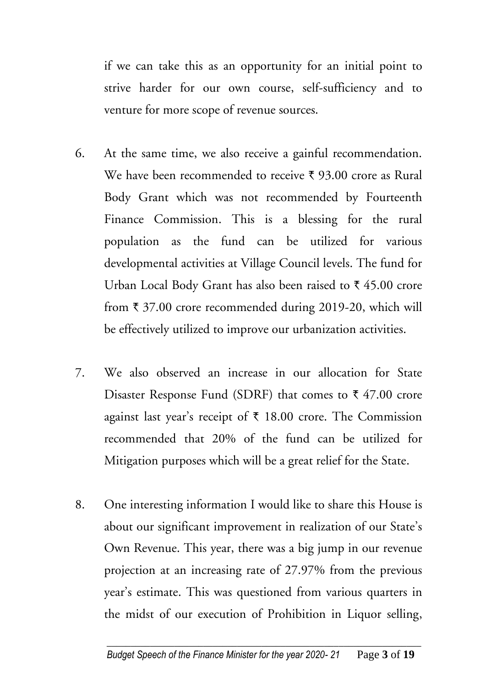if we can take this as an opportunity for an initial point to strive harder for our own course, self-sufficiency and to venture for more scope of revenue sources.

- 6. At the same time, we also receive a gainful recommendation. We have been recommended to receive  $\bar{\tau}$  93.00 crore as Rural Body Grant which was not recommended by Fourteenth Finance Commission. This is a blessing for the rural population as the fund can be utilized for various developmental activities at Village Council levels. The fund for Urban Local Body Grant has also been raised to  $\bar{\tau}$  45.00 crore from  $\bar{\tau}$  37.00 crore recommended during 2019-20, which will be effectively utilized to improve our urbanization activities.
- 7. We also observed an increase in our allocation for State Disaster Response Fund (SDRF) that comes to  $\bar{\tau}$  47.00 crore against last year's receipt of  $\bar{\tau}$  18.00 crore. The Commission recommended that 20% of the fund can be utilized for Mitigation purposes which will be a great relief for the State.
- 8. One interesting information I would like to share this House is about our significant improvement in realization of our State's Own Revenue. This year, there was a big jump in our revenue projection at an increasing rate of 27.97% from the previous year's estimate. This was questioned from various quarters in the midst of our execution of Prohibition in Liquor selling,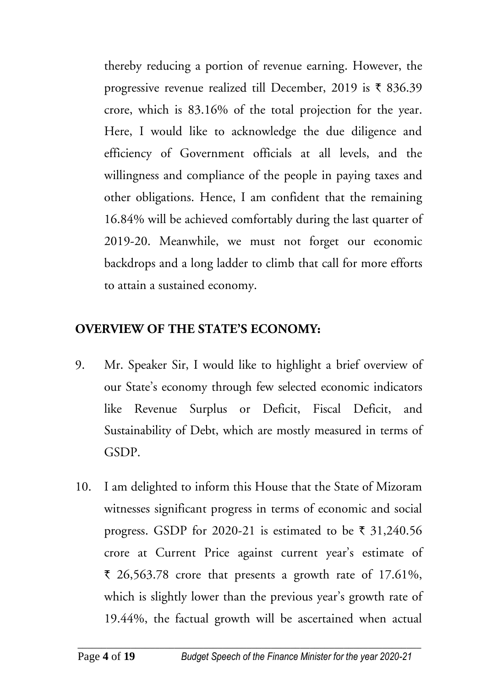thereby reducing a portion of revenue earning. However, the progressive revenue realized till December, 2019 is  $\bar{\tau}$  836.39 crore, which is 83.16% of the total projection for the year. Here, I would like to acknowledge the due diligence and efficiency of Government officials at all levels, and the willingness and compliance of the people in paying taxes and other obligations. Hence, I am confident that the remaining 16.84% will be achieved comfortably during the last quarter of 2019-20. Meanwhile, we must not forget our economic backdrops and a long ladder to climb that call for more efforts to attain a sustained economy.

#### **OVERVIEW OF THE STATE'S ECONOMY:**

- 9. Mr. Speaker Sir, I would like to highlight a brief overview of our State's economy through few selected economic indicators like Revenue Surplus or Deficit, Fiscal Deficit, and Sustainability of Debt, which are mostly measured in terms of GSDP.
- 10. I am delighted to inform this House that the State of Mizoram witnesses significant progress in terms of economic and social progress. GSDP for 2020-21 is estimated to be  $\bar{\tau}$  31,240.56 crore at Current Price against current year's estimate of  $\bar{\tau}$  26,563.78 crore that presents a growth rate of 17.61%, which is slightly lower than the previous year's growth rate of 19.44%, the factual growth will be ascertained when actual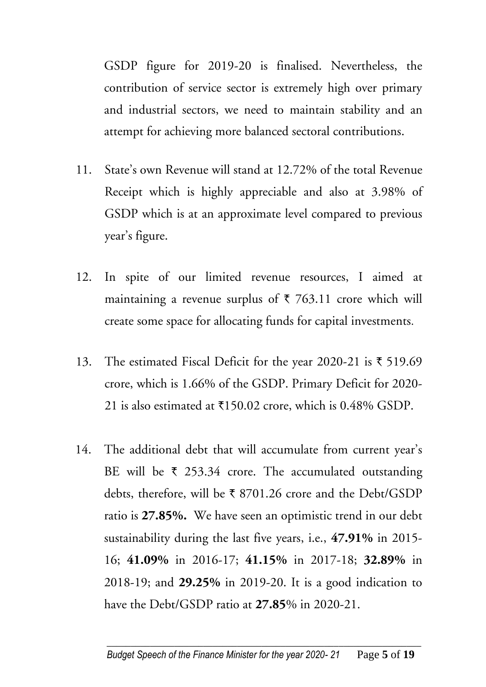GSDP figure for 2019-20 is finalised. Nevertheless, the contribution of service sector is extremely high over primary and industrial sectors, we need to maintain stability and an attempt for achieving more balanced sectoral contributions.

- 11. State's own Revenue will stand at 12.72% of the total Revenue Receipt which is highly appreciable and also at 3.98% of GSDP which is at an approximate level compared to previous year's figure.
- 12. In spite of our limited revenue resources, I aimed at maintaining a revenue surplus of  $\bar{\tau}$  763.11 crore which will create some space for allocating funds for capital investments.
- 13. The estimated Fiscal Deficit for the year 2020-21 is  $\bar{\tau}$  519.69 crore, which is 1.66% of the GSDP. Primary Deficit for 2020- 21 is also estimated at  $\text{\textsterling}150.02$  crore, which is 0.48% GSDP.
- 14. The additional debt that will accumulate from current year's BE will be  $\bar{\tau}$  253.34 crore. The accumulated outstanding debts, therefore, will be  $\bar{\tau}$  8701.26 crore and the Debt/GSDP ratio is **27.85%.** We have seen an optimistic trend in our debt sustainability during the last five years, i.e., **47.91%** in 2015- 16; **41.09%** in 2016-17; **41.15%** in 2017-18; **32.89%** in 2018-19; and **29.25%** in 2019-20. It is a good indication to have the Debt/GSDP ratio at **27.85**% in 2020-21.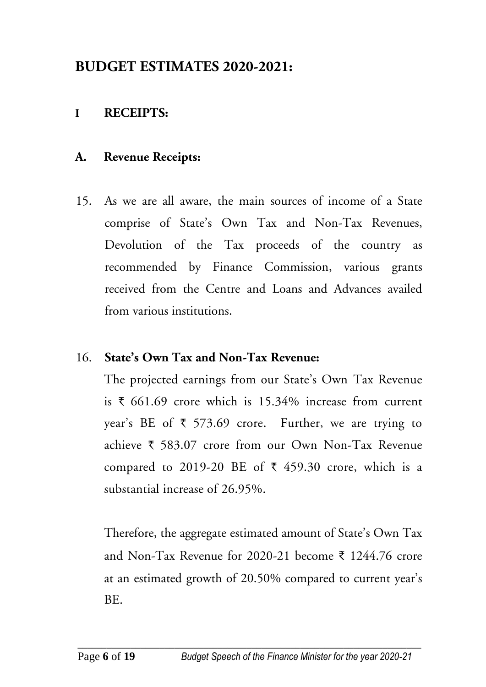### **BUDGET ESTIMATES 2020-2021:**

#### **I RECEIPTS:**

#### **A. Revenue Receipts:**

15. As we are all aware, the main sources of income of a State comprise of State's Own Tax and Non-Tax Revenues, Devolution of the Tax proceeds of the country as recommended by Finance Commission, various grants received from the Centre and Loans and Advances availed from various institutions.

#### 16. **State's Own Tax and Non-Tax Revenue:**

The projected earnings from our State's Own Tax Revenue is  $\bar{\tau}$  661.69 crore which is 15.34% increase from current year's BE of  $\bar{\tau}$  573.69 crore. Further, we are trying to achieve  $\bar{\tau}$  583.07 crore from our Own Non-Tax Revenue compared to 2019-20 BE of  $\bar{\tau}$  459.30 crore, which is a substantial increase of 26.95%.

Therefore, the aggregate estimated amount of State's Own Tax and Non-Tax Revenue for 2020-21 become ₹ 1244.76 crore at an estimated growth of 20.50% compared to current year's BE.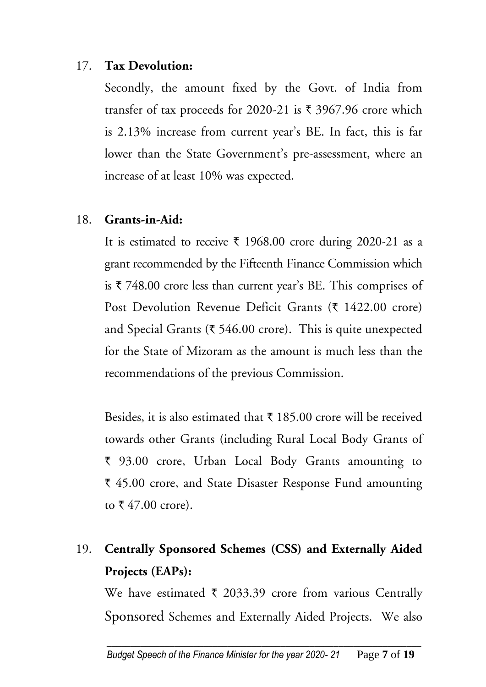#### 17. **Tax Devolution:**

Secondly, the amount fixed by the Govt. of India from transfer of tax proceeds for 2020-21 is  $\bar{\tau}$  3967.96 crore which is 2.13% increase from current year's BE. In fact, this is far lower than the State Government's pre-assessment, where an increase of at least 10% was expected.

#### 18. **Grants-in-Aid:**

It is estimated to receive  $\bar{\tau}$  1968.00 crore during 2020-21 as a grant recommended by the Fifteenth Finance Commission which is  $\overline{\zeta}$  748.00 crore less than current year's BE. This comprises of Post Devolution Revenue Deficit Grants ( $\bar{\tau}$  1422.00 crore) and Special Grants ( $\overline{\xi}$  546.00 crore). This is quite unexpected for the State of Mizoram as the amount is much less than the recommendations of the previous Commission.

Besides, it is also estimated that  $\bar{\tau}$  185.00 crore will be received towards other Grants (including Rural Local Body Grants of ` 93.00 crore, Urban Local Body Grants amounting to ` 45.00 crore, and State Disaster Response Fund amounting to  $\bar{x}$  47.00 crore).

## 19. **Centrally Sponsored Schemes (CSS) and Externally Aided Projects (EAPs):**

We have estimated  $\bar{\tau}$  2033.39 crore from various Centrally Sponsored Schemes and Externally Aided Projects. We also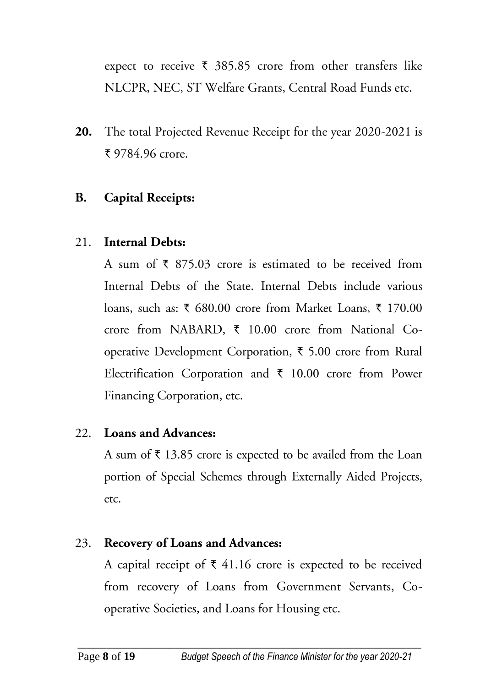expect to receive  $\bar{\tau}$  385.85 crore from other transfers like NLCPR, NEC, ST Welfare Grants, Central Road Funds etc.

**20.** The total Projected Revenue Receipt for the year 2020-2021 is ₹ 9784.96 crore.

#### **B. Capital Receipts:**

#### 21. **Internal Debts:**

A sum of  $\bar{\tau}$  875.03 crore is estimated to be received from Internal Debts of the State. Internal Debts include various loans, such as:  $\bar{\xi}$  680.00 crore from Market Loans,  $\bar{\xi}$  170.00 crore from NABARD,  $\bar{\tau}$  10.00 crore from National Cooperative Development Corporation,  $\bar{\tau}$  5.00 crore from Rural Electrification Corporation and  $\bar{\tau}$  10.00 crore from Power Financing Corporation, etc.

#### 22. **Loans and Advances:**

A sum of  $\bar{\tau}$  13.85 crore is expected to be availed from the Loan portion of Special Schemes through Externally Aided Projects, etc.

#### 23. **Recovery of Loans and Advances:**

A capital receipt of  $\bar{\tau}$  41.16 crore is expected to be received from recovery of Loans from Government Servants, Cooperative Societies, and Loans for Housing etc.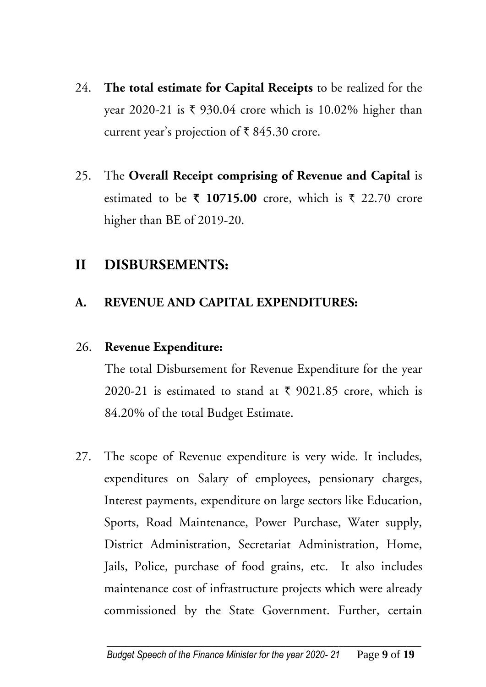- 24. **The total estimate for Capital Receipts** to be realized for the year 2020-21 is  $\overline{\xi}$  930.04 crore which is 10.02% higher than current year's projection of  $\bar{\tau}$  845.30 crore.
- 25. The **Overall Receipt comprising of Revenue and Capital** is estimated to be  $\bar{\tau}$  10715.00 crore, which is  $\bar{\tau}$  22.70 crore higher than BE of 2019-20.

#### **II DISBURSEMENTS:**

#### **A. REVENUE AND CAPITAL EXPENDITURES:**

#### 26. **Revenue Expenditure:**

The total Disbursement for Revenue Expenditure for the year 2020-21 is estimated to stand at  $\bar{\xi}$  9021.85 crore, which is 84.20% of the total Budget Estimate.

27. The scope of Revenue expenditure is very wide. It includes, expenditures on Salary of employees, pensionary charges, Interest payments, expenditure on large sectors like Education, Sports, Road Maintenance, Power Purchase, Water supply, District Administration, Secretariat Administration, Home, Jails, Police, purchase of food grains, etc. It also includes maintenance cost of infrastructure projects which were already commissioned by the State Government. Further, certain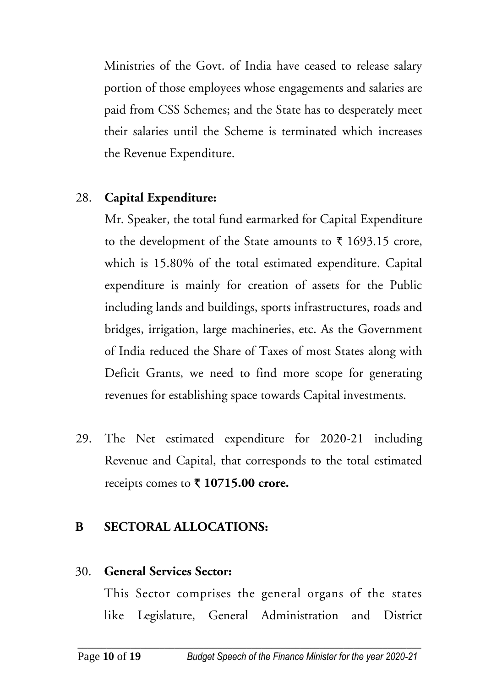Ministries of the Govt. of India have ceased to release salary portion of those employees whose engagements and salaries are paid from CSS Schemes; and the State has to desperately meet their salaries until the Scheme is terminated which increases the Revenue Expenditure.

#### 28. **Capital Expenditure:**

Mr. Speaker, the total fund earmarked for Capital Expenditure to the development of the State amounts to  $\bar{\tau}$  1693.15 crore, which is 15.80% of the total estimated expenditure. Capital expenditure is mainly for creation of assets for the Public including lands and buildings, sports infrastructures, roads and bridges, irrigation, large machineries, etc. As the Government of India reduced the Share of Taxes of most States along with Deficit Grants, we need to find more scope for generating revenues for establishing space towards Capital investments.

29. The Net estimated expenditure for 2020-21 including Revenue and Capital, that corresponds to the total estimated receipts comes to **` 10715.00 crore.**

#### **B SECTORAL ALLOCATIONS:**

#### 30. **General Services Sector:**

This Sector comprises the general organs of the states like Legislature, General Administration and District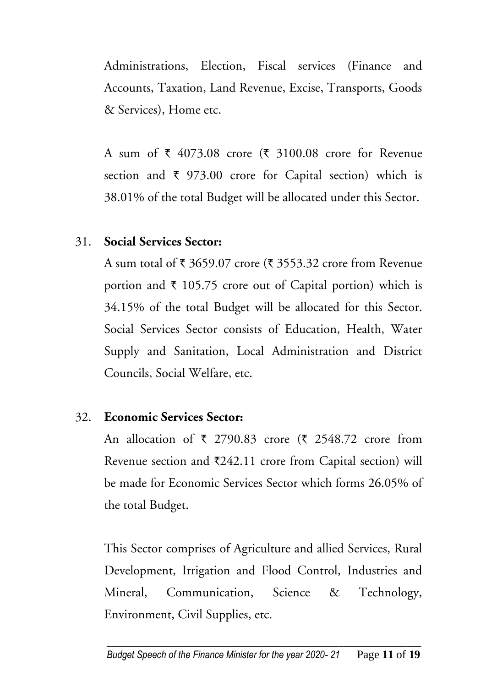Administrations, Election, Fiscal services (Finance and Accounts, Taxation, Land Revenue, Excise, Transports, Goods & Services), Home etc.

A sum of  $\bar{\tau}$  4073.08 crore ( $\bar{\tau}$  3100.08 crore for Revenue section and  $\bar{\tau}$  973.00 crore for Capital section) which is 38.01% of the total Budget will be allocated under this Sector.

#### 31. **Social Services Sector:**

A sum total of  $\bar{\tau}$  3659.07 crore ( $\bar{\tau}$  3553.32 crore from Revenue portion and  $\bar{\tau}$  105.75 crore out of Capital portion) which is 34.15% of the total Budget will be allocated for this Sector. Social Services Sector consists of Education, Health, Water Supply and Sanitation, Local Administration and District Councils, Social Welfare, etc.

#### 32. **Economic Services Sector:**

An allocation of  $\bar{\tau}$  2790.83 crore ( $\bar{\tau}$  2548.72 crore from Revenue section and  $\text{\textsterling}242.11$  crore from Capital section) will be made for Economic Services Sector which forms 26.05% of the total Budget.

This Sector comprises of Agriculture and allied Services, Rural Development, Irrigation and Flood Control, Industries and Mineral, Communication, Science & Technology, Environment, Civil Supplies, etc.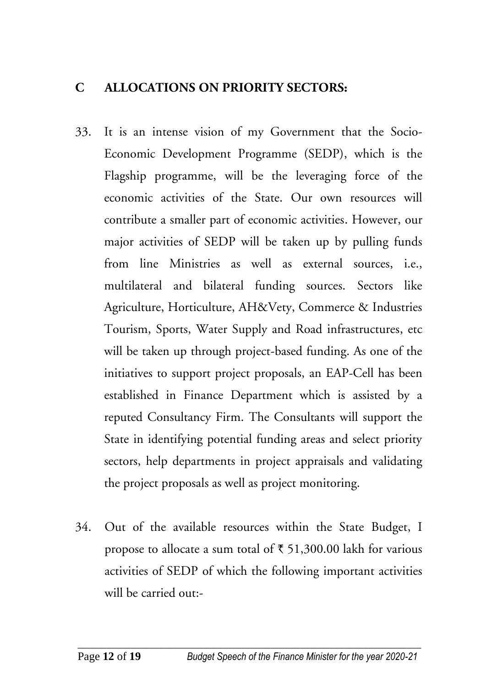#### **C ALLOCATIONS ON PRIORITY SECTORS:**

- 33. It is an intense vision of my Government that the Socio-Economic Development Programme (SEDP), which is the Flagship programme, will be the leveraging force of the economic activities of the State. Our own resources will contribute a smaller part of economic activities. However, our major activities of SEDP will be taken up by pulling funds from line Ministries as well as external sources, i.e., multilateral and bilateral funding sources. Sectors like Agriculture, Horticulture, AH&Vety, Commerce & Industries Tourism, Sports, Water Supply and Road infrastructures, etc will be taken up through project-based funding. As one of the initiatives to support project proposals, an EAP-Cell has been established in Finance Department which is assisted by a reputed Consultancy Firm. The Consultants will support the State in identifying potential funding areas and select priority sectors, help departments in project appraisals and validating the project proposals as well as project monitoring.
- 34. Out of the available resources within the State Budget, I propose to allocate a sum total of  $\bar{\tau}$  51,300.00 lakh for various activities of SEDP of which the following important activities will be carried out:-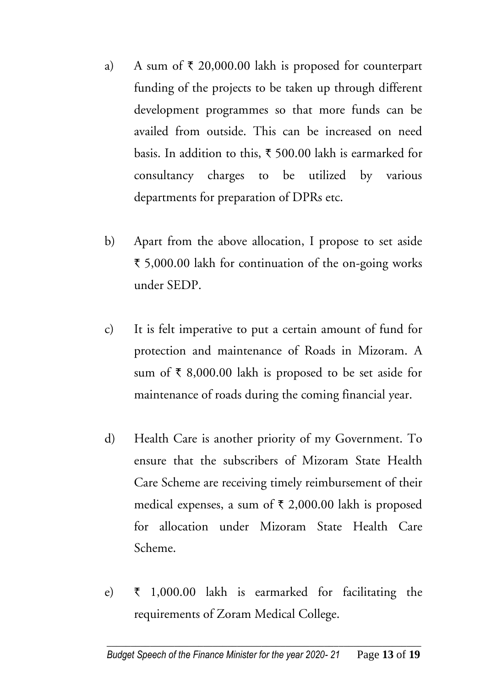- a) A sum of  $\bar{\tau}$  20,000.00 lakh is proposed for counterpart funding of the projects to be taken up through different development programmes so that more funds can be availed from outside. This can be increased on need basis. In addition to this,  $\bar{\tau}$  500.00 lakh is earmarked for consultancy charges to be utilized by various departments for preparation of DPRs etc.
- b) Apart from the above allocation, I propose to set aside ` 5,000.00 lakh for continuation of the on-going works under SEDP.
- c) It is felt imperative to put a certain amount of fund for protection and maintenance of Roads in Mizoram. A sum of  $\bar{\tau}$  8,000.00 lakh is proposed to be set aside for maintenance of roads during the coming financial year.
- d) Health Care is another priority of my Government. To ensure that the subscribers of Mizoram State Health Care Scheme are receiving timely reimbursement of their medical expenses, a sum of  $\bar{\tau}$  2,000.00 lakh is proposed for allocation under Mizoram State Health Care Scheme.
- e)  $\bar{\tau}$  1,000.00 lakh is earmarked for facilitating the requirements of Zoram Medical College.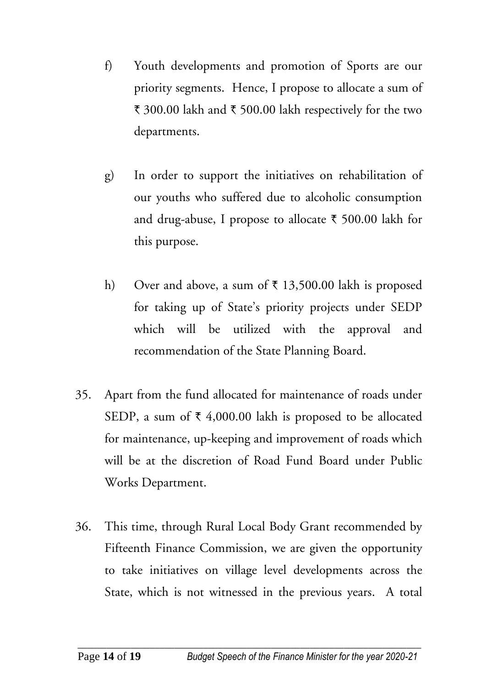- f) Youth developments and promotion of Sports are our priority segments. Hence, I propose to allocate a sum of ₹ 300.00 lakh and ₹ 500.00 lakh respectively for the two departments.
- g) In order to support the initiatives on rehabilitation of our youths who suffered due to alcoholic consumption and drug-abuse, I propose to allocate  $\bar{\tau}$  500.00 lakh for this purpose.
- h) Over and above, a sum of  $\bar{\tau}$  13,500.00 lakh is proposed for taking up of State's priority projects under SEDP which will be utilized with the approval and recommendation of the State Planning Board.
- 35. Apart from the fund allocated for maintenance of roads under SEDP, a sum of  $\bar{\xi}$  4,000.00 lakh is proposed to be allocated for maintenance, up-keeping and improvement of roads which will be at the discretion of Road Fund Board under Public Works Department.
- 36. This time, through Rural Local Body Grant recommended by Fifteenth Finance Commission, we are given the opportunity to take initiatives on village level developments across the State, which is not witnessed in the previous years. A total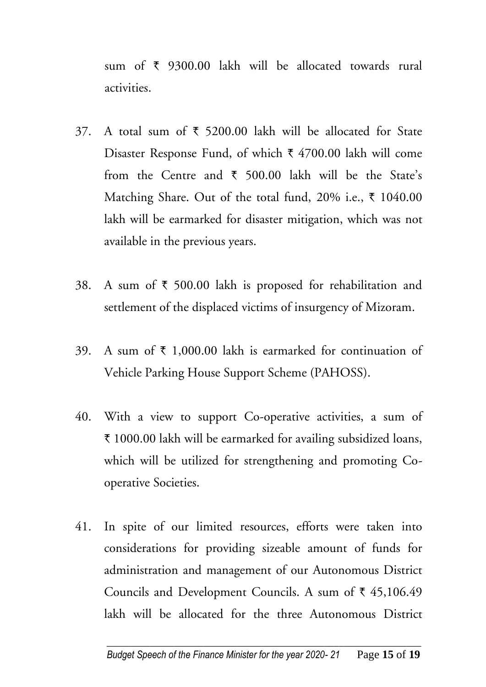sum of  $\bar{\tau}$  9300.00 lakh will be allocated towards rural activities.

- 37. A total sum of  $\bar{\tau}$  5200.00 lakh will be allocated for State Disaster Response Fund, of which  $\bar{\tau}$  4700.00 lakh will come from the Centre and  $\bar{\tau}$  500.00 lakh will be the State's Matching Share. Out of the total fund, 20% i.e.,  $\bar{\tau}$  1040.00 lakh will be earmarked for disaster mitigation, which was not available in the previous years.
- 38. A sum of  $\bar{\tau}$  500.00 lakh is proposed for rehabilitation and settlement of the displaced victims of insurgency of Mizoram.
- 39. A sum of  $\bar{\tau}$  1,000.00 lakh is earmarked for continuation of Vehicle Parking House Support Scheme (PAHOSS).
- 40. With a view to support Co-operative activities, a sum of ₹ 1000.00 lakh will be earmarked for availing subsidized loans, which will be utilized for strengthening and promoting Cooperative Societies.
- 41. In spite of our limited resources, efforts were taken into considerations for providing sizeable amount of funds for administration and management of our Autonomous District Councils and Development Councils. A sum of  $\bar{\tau}$  45,106.49 lakh will be allocated for the three Autonomous District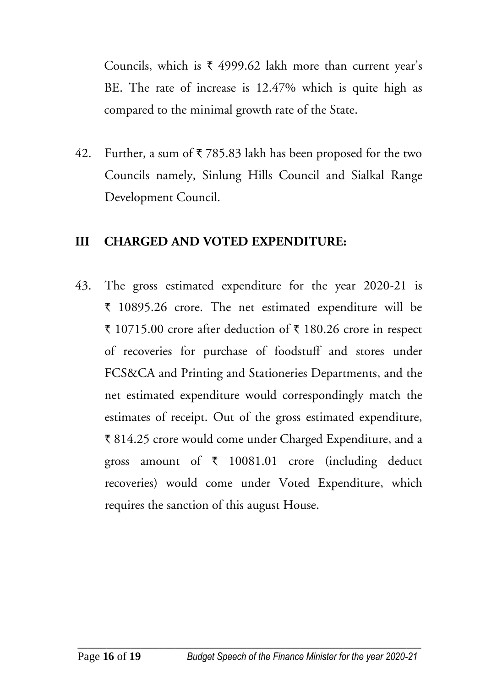Councils, which is  $\bar{x}$  4999.62 lakh more than current year's BE. The rate of increase is 12.47% which is quite high as compared to the minimal growth rate of the State.

42. Further, a sum of  $\bar{\tau}$  785.83 lakh has been proposed for the two Councils namely, Sinlung Hills Council and Sialkal Range Development Council.

#### **III CHARGED AND VOTED EXPENDITURE:**

43. The gross estimated expenditure for the year 2020-21 is ` 10895.26 crore. The net estimated expenditure will be ₹ 10715.00 crore after deduction of ₹ 180.26 crore in respect of recoveries for purchase of foodstuff and stores under FCS&CA and Printing and Stationeries Departments, and the net estimated expenditure would correspondingly match the estimates of receipt. Out of the gross estimated expenditure, ` 814.25 crore would come under Charged Expenditure, and a gross amount of  $\bar{\tau}$  10081.01 crore (including deduct recoveries) would come under Voted Expenditure, which requires the sanction of this august House.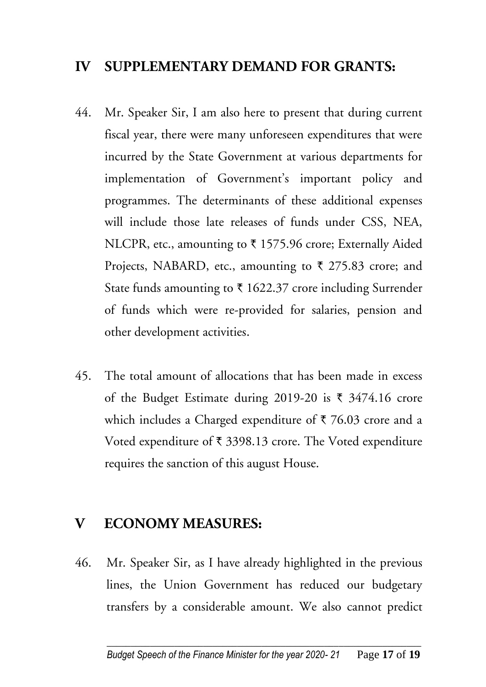#### **IV SUPPLEMENTARY DEMAND FOR GRANTS:**

- 44. Mr. Speaker Sir, I am also here to present that during current fiscal year, there were many unforeseen expenditures that were incurred by the State Government at various departments for implementation of Government's important policy and programmes. The determinants of these additional expenses will include those late releases of funds under CSS, NEA, NLCPR, etc., amounting to  $\bar{\tau}$  1575.96 crore; Externally Aided Projects, NABARD, etc., amounting to  $\bar{\tau}$  275.83 crore; and State funds amounting to  $\bar{\tau}$  1622.37 crore including Surrender of funds which were re-provided for salaries, pension and other development activities.
- 45. The total amount of allocations that has been made in excess of the Budget Estimate during 2019-20 is  $\bar{\tau}$  3474.16 crore which includes a Charged expenditure of  $\bar{\tau}$  76.03 crore and a Voted expenditure of  $\bar{\tau}$  3398.13 crore. The Voted expenditure requires the sanction of this august House.

#### **V ECONOMY MEASURES:**

46. Mr. Speaker Sir, as I have already highlighted in the previous lines, the Union Government has reduced our budgetary transfers by a considerable amount. We also cannot predict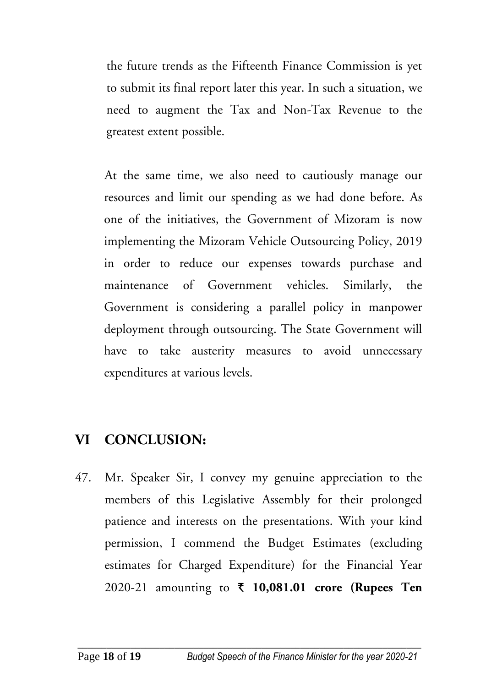the future trends as the Fifteenth Finance Commission is yet to submit its final report later this year. In such a situation, we need to augment the Tax and Non-Tax Revenue to the greatest extent possible.

At the same time, we also need to cautiously manage our resources and limit our spending as we had done before. As one of the initiatives, the Government of Mizoram is now implementing the Mizoram Vehicle Outsourcing Policy, 2019 in order to reduce our expenses towards purchase and maintenance of Government vehicles. Similarly, the Government is considering a parallel policy in manpower deployment through outsourcing. The State Government will have to take austerity measures to avoid unnecessary expenditures at various levels.

### **VI CONCLUSION:**

47. Mr. Speaker Sir, I convey my genuine appreciation to the members of this Legislative Assembly for their prolonged patience and interests on the presentations. With your kind permission, I commend the Budget Estimates (excluding estimates for Charged Expenditure) for the Financial Year 2020-21 amounting to **` 10,081.01 crore (Rupees Ten**